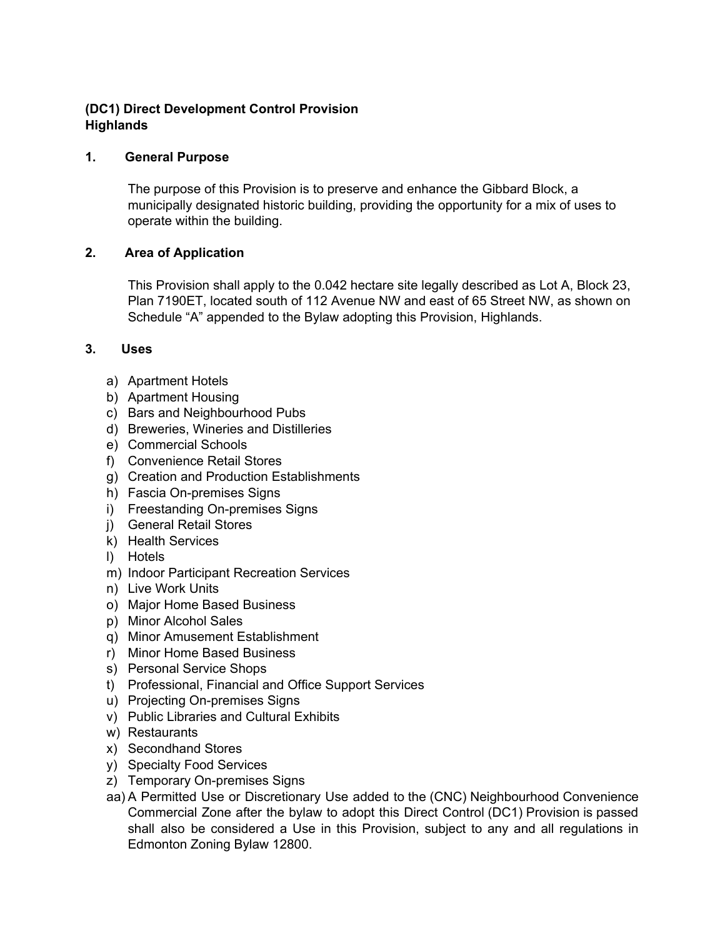# **(DC1) Direct Development Control Provision Highlands**

### **1. General Purpose**

The purpose of this Provision is to preserve and enhance the Gibbard Block, a municipally designated historic building, providing the opportunity for a mix of uses to operate within the building.

### **2. Area of Application**

This Provision shall apply to the 0.042 hectare site legally described as Lot A, Block 23, Plan 7190ET, located south of 112 Avenue NW and east of 65 Street NW, as shown on Schedule "A" appended to the Bylaw adopting this Provision, Highlands.

### **3. Uses**

- a) Apartment Hotels
- b) Apartment Housing
- c) Bars and Neighbourhood Pubs
- d) Breweries, Wineries and Distilleries
- e) Commercial Schools
- f) Convenience Retail Stores
- g) Creation and Production Establishments
- h) Fascia On-premises Signs
- i) Freestanding On-premises Signs
- j) General Retail Stores
- k) Health Services
- l) Hotels
- m) Indoor Participant Recreation Services
- n) Live Work Units
- o) Major Home Based Business
- p) Minor Alcohol Sales
- q) Minor Amusement Establishment
- r) Minor Home Based Business
- s) Personal Service Shops
- t) Professional, Financial and Office Support Services
- u) Projecting On-premises Signs
- v) Public Libraries and Cultural Exhibits
- w) Restaurants
- x) Secondhand Stores
- y) Specialty Food Services
- z) Temporary On-premises Signs
- aa) A Permitted Use or Discretionary Use added to the (CNC) Neighbourhood Convenience Commercial Zone after the bylaw to adopt this Direct Control (DC1) Provision is passed shall also be considered a Use in this Provision, subject to any and all regulations in Edmonton Zoning Bylaw 12800.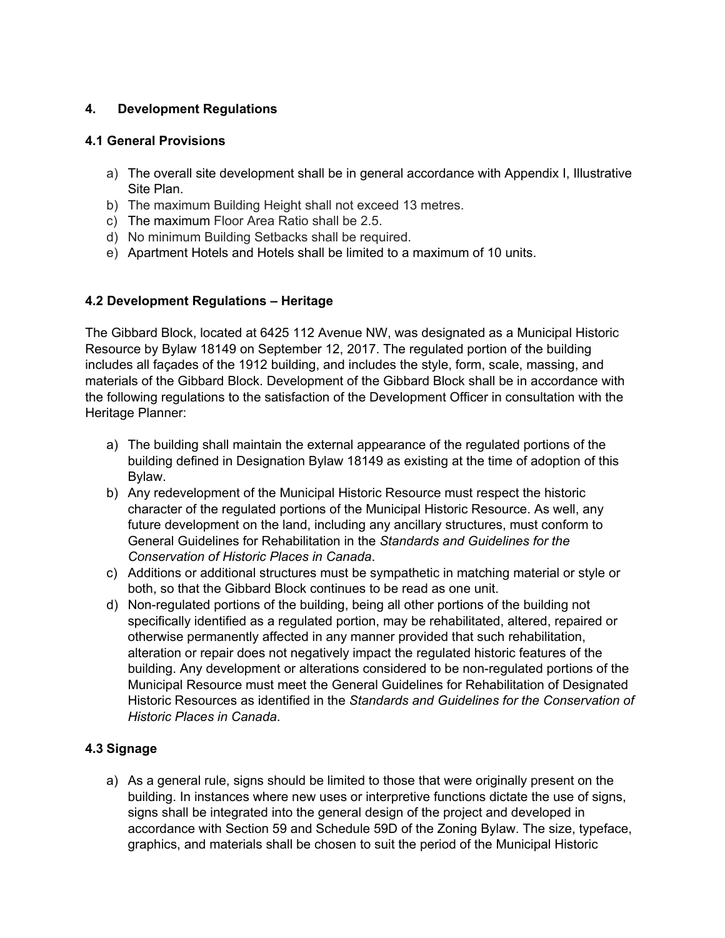## **4. Development Regulations**

### **4.1 General Provisions**

- a) The overall site development shall be in general accordance with Appendix I, Illustrative Site Plan.
- b) The maximum Building Height shall not exceed 13 metres.
- c) The maximum Floor Area Ratio shall be 2.5.
- d) No minimum Building Setbacks shall be required.
- e) Apartment Hotels and Hotels shall be limited to a maximum of 10 units.

### **4.2 Development Regulations – Heritage**

The Gibbard Block, located at 6425 112 Avenue NW, was designated as a Municipal Historic Resource by Bylaw 18149 on September 12, 2017. The regulated portion of the building includes all façades of the 1912 building, and includes the style, form, scale, massing, and materials of the Gibbard Block. Development of the Gibbard Block shall be in accordance with the following regulations to the satisfaction of the Development Officer in consultation with the Heritage Planner:

- a) The building shall maintain the external appearance of the regulated portions of the building defined in Designation Bylaw 18149 as existing at the time of adoption of this Bylaw.
- b) Any redevelopment of the Municipal Historic Resource must respect the historic character of the regulated portions of the Municipal Historic Resource. As well, any future development on the land, including any ancillary structures, must conform to General Guidelines for Rehabilitation in the *Standards and Guidelines for the Conservation of Historic Places in Canada*.
- c) Additions or additional structures must be sympathetic in matching material or style or both, so that the Gibbard Block continues to be read as one unit.
- d) Non-regulated portions of the building, being all other portions of the building not specifically identified as a regulated portion, may be rehabilitated, altered, repaired or otherwise permanently affected in any manner provided that such rehabilitation, alteration or repair does not negatively impact the regulated historic features of the building. Any development or alterations considered to be non-regulated portions of the Municipal Resource must meet the General Guidelines for Rehabilitation of Designated Historic Resources as identified in the *Standards and Guidelines for the Conservation of Historic Places in Canada*.

# **4.3 Signage**

a) As a general rule, signs should be limited to those that were originally present on the building. In instances where new uses or interpretive functions dictate the use of signs, signs shall be integrated into the general design of the project and developed in accordance with Section 59 and Schedule 59D of the Zoning Bylaw. The size, typeface, graphics, and materials shall be chosen to suit the period of the Municipal Historic